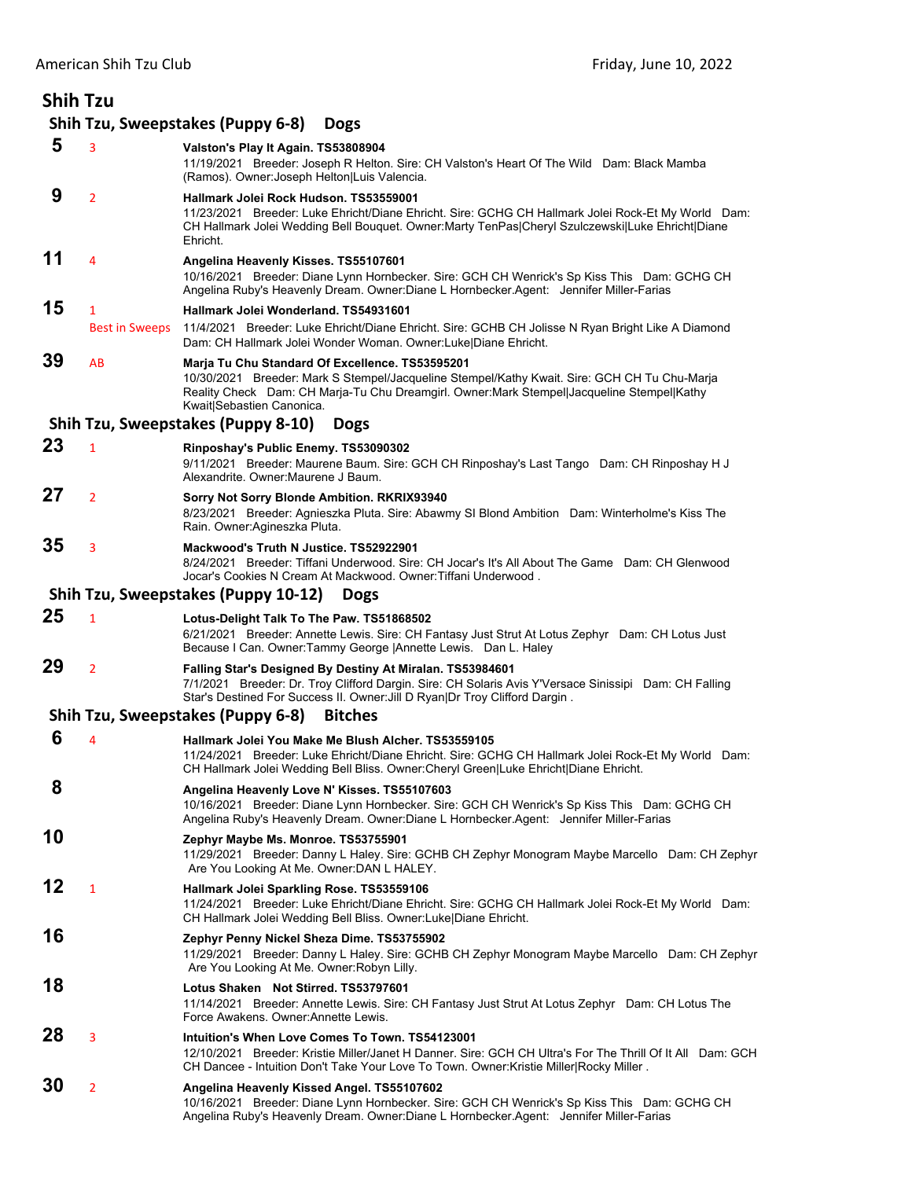| <b>Shih Tzu</b> |                            |                                                                                                                                                                                                                                                                           |
|-----------------|----------------------------|---------------------------------------------------------------------------------------------------------------------------------------------------------------------------------------------------------------------------------------------------------------------------|
|                 |                            | Shih Tzu, Sweepstakes (Puppy 6-8)<br><b>Dogs</b>                                                                                                                                                                                                                          |
| 5               | 3                          | Valston's Play It Again. TS53808904<br>11/19/2021 Breeder: Joseph R Helton. Sire: CH Valston's Heart Of The Wild Dam: Black Mamba<br>(Ramos). Owner: Joseph Helton Luis Valencia.                                                                                         |
| 9               | $\overline{2}$             | Hallmark Jolei Rock Hudson. TS53559001<br>11/23/2021 Breeder: Luke Ehricht/Diane Ehricht. Sire: GCHG CH Hallmark Jolei Rock-Et My World Dam:<br>CH Hallmark Jolei Wedding Bell Bouquet. Owner:Marty TenPas Cheryl Szulczewski Luke Ehricht Diane<br>Ehricht.              |
| 11              | 4                          | Angelina Heavenly Kisses. TS55107601<br>10/16/2021 Breeder: Diane Lynn Hornbecker. Sire: GCH CH Wenrick's Sp Kiss This Dam: GCHG CH<br>Angelina Ruby's Heavenly Dream. Owner:Diane L Hornbecker.Agent: Jennifer Miller-Farias                                             |
| 15              | 1<br><b>Best in Sweeps</b> | Hallmark Jolei Wonderland. TS54931601<br>11/4/2021 Breeder: Luke Ehricht/Diane Ehricht. Sire: GCHB CH Jolisse N Ryan Bright Like A Diamond<br>Dam: CH Hallmark Jolei Wonder Woman. Owner:Luke Diane Ehricht.                                                              |
| 39              | AB                         | Marja Tu Chu Standard Of Excellence. TS53595201<br>10/30/2021 Breeder: Mark S Stempel/Jacqueline Stempel/Kathy Kwait. Sire: GCH CH Tu Chu-Marja<br>Reality Check Dam: CH Marja-Tu Chu Dreamgirl. Owner:Mark Stempel Jacqueline Stempel Kathy<br>Kwait Sebastien Canonica. |
|                 |                            | Shih Tzu, Sweepstakes (Puppy 8-10)<br><b>Dogs</b>                                                                                                                                                                                                                         |
| 23              | $\mathbf{1}$               | Rinposhay's Public Enemy. TS53090302<br>9/11/2021 Breeder: Maurene Baum. Sire: GCH CH Rinposhay's Last Tango Dam: CH Rinposhay H J<br>Alexandrite. Owner: Maurene J Baum.                                                                                                 |
| 27              | $\overline{2}$             | Sorry Not Sorry Blonde Ambition. RKRIX93940<br>8/23/2021 Breeder: Agnieszka Pluta. Sire: Abawmy SI Blond Ambition Dam: Winterholme's Kiss The<br>Rain. Owner:Agineszka Pluta.                                                                                             |
| 35              | 3                          | Mackwood's Truth N Justice. TS52922901<br>8/24/2021 Breeder: Tiffani Underwood. Sire: CH Jocar's It's All About The Game Dam: CH Glenwood<br>Jocar's Cookies N Cream At Mackwood. Owner: Tiffani Underwood.                                                               |
|                 |                            | Shih Tzu, Sweepstakes (Puppy 10-12)<br><b>Dogs</b>                                                                                                                                                                                                                        |
| 25              | $\mathbf{1}$               | Lotus-Delight Talk To The Paw. TS51868502<br>6/21/2021 Breeder: Annette Lewis. Sire: CH Fantasy Just Strut At Lotus Zephyr Dam: CH Lotus Just<br>Because I Can. Owner: Tammy George   Annette Lewis. Dan L. Haley                                                         |
| 29              | $\overline{2}$             | Falling Star's Designed By Destiny At Miralan. TS53984601<br>7/1/2021 Breeder: Dr. Troy Clifford Dargin. Sire: CH Solaris Avis Y'Versace Sinissipi Dam: CH Falling<br>Star's Destined For Success II. Owner: Jill D Ryan Dr Troy Clifford Dargin.                         |
|                 |                            | Shih Tzu, Sweepstakes (Puppy 6-8)<br><b>Bitches</b>                                                                                                                                                                                                                       |
| 6               | 4                          | Hallmark Jolei You Make Me Blush Alcher, TS53559105<br>11/24/2021 Breeder: Luke Ehricht/Diane Ehricht. Sire: GCHG CH Hallmark Jolei Rock-Et My World Dam:<br>CH Hallmark Jolei Wedding Bell Bliss. Owner:Cheryl Green Luke Ehricht Diane Ehricht.                         |
| 8               |                            | Angelina Heavenly Love N' Kisses. TS55107603<br>10/16/2021 Breeder: Diane Lynn Hornbecker. Sire: GCH CH Wenrick's Sp Kiss This Dam: GCHG CH<br>Angelina Ruby's Heavenly Dream. Owner:Diane L Hornbecker.Agent: Jennifer Miller-Farias                                     |
| 10              |                            | Zephyr Maybe Ms. Monroe. TS53755901<br>11/29/2021 Breeder: Danny L Haley. Sire: GCHB CH Zephyr Monogram Maybe Marcello Dam: CH Zephyr<br>Are You Looking At Me. Owner: DAN L HALEY.                                                                                       |
| 12              | 1                          | Hallmark Jolei Sparkling Rose. TS53559106<br>11/24/2021 Breeder: Luke Ehricht/Diane Ehricht. Sire: GCHG CH Hallmark Jolei Rock-Et My World Dam:<br>CH Hallmark Jolei Wedding Bell Bliss. Owner: Luke Diane Ehricht.                                                       |
| 16              |                            | Zephyr Penny Nickel Sheza Dime. TS53755902<br>11/29/2021 Breeder: Danny L Haley. Sire: GCHB CH Zephyr Monogram Maybe Marcello Dam: CH Zephyr<br>Are You Looking At Me. Owner: Robyn Lilly.                                                                                |
| 18              |                            | Lotus Shaken Not Stirred. TS53797601<br>11/14/2021 Breeder: Annette Lewis. Sire: CH Fantasy Just Strut At Lotus Zephyr Dam: CH Lotus The<br>Force Awakens. Owner: Annette Lewis.                                                                                          |
| 28              | 3                          | Intuition's When Love Comes To Town. TS54123001<br>12/10/2021 Breeder: Kristie Miller/Janet H Danner. Sire: GCH CH Ultra's For The Thrill Of It All Dam: GCH<br>CH Dancee - Intuition Don't Take Your Love To Town. Owner: Kristie Miller Rocky Miller.                   |
| 30              | $\overline{2}$             | Angelina Heavenly Kissed Angel. TS55107602<br>10/16/2021 Breeder: Diane Lynn Hornbecker. Sire: GCH CH Wenrick's Sp Kiss This Dam: GCHG CH<br>Angelina Ruby's Heavenly Dream. Owner:Diane L Hornbecker.Agent: Jennifer Miller-Farias                                       |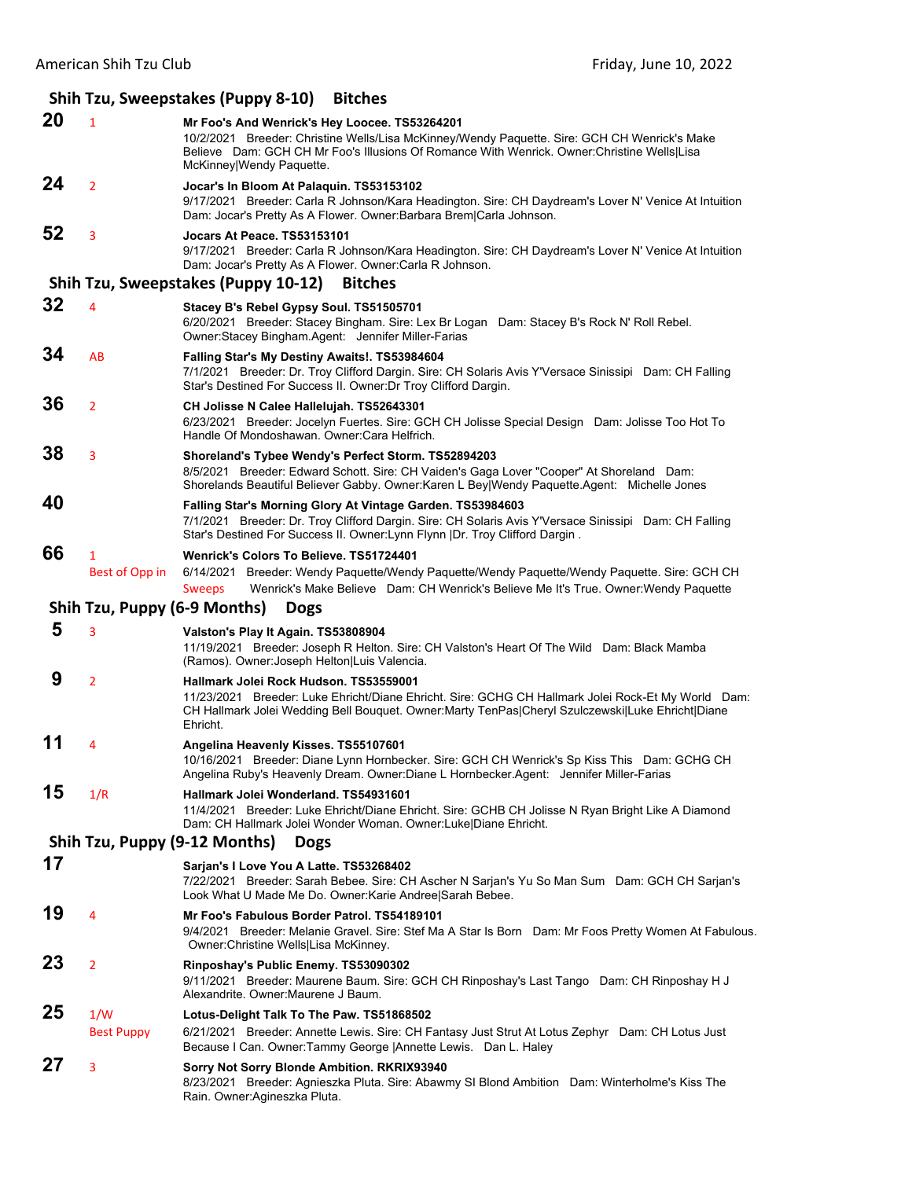## **Shih Tzu, Sweepstakes (Puppy 8‐10) Bitches 20** <sup>1</sup> **Mr Foo's And Wenrick's Hey Loocee. TS53264201** 10/2/2021 Breeder: Christine Wells/Lisa McKinney/Wendy Paquette. Sire: GCH CH Wenrick's Make Believe Dam: GCH CH Mr Foo's Illusions Of Romance With Wenrick. Owner:Christine Wells|Lisa McKinney|Wendy Paquette. **24** <sup>2</sup> **Jocar's In Bloom At Palaquin. TS53153102** 9/17/2021 Breeder: Carla R Johnson/Kara Headington. Sire: CH Daydream's Lover N' Venice At Intuition Dam: Jocar's Pretty As A Flower. Owner:Barbara Brem|Carla Johnson. **52** <sup>3</sup> **Jocars At Peace. TS53153101** 9/17/2021 Breeder: Carla R Johnson/Kara Headington. Sire: CH Daydream's Lover N' Venice At Intuition Dam: Jocar's Pretty As A Flower. Owner:Carla R Johnson. **Shih Tzu, Sweepstakes (Puppy 10‐12) Bitches 32** <sup>4</sup> **Stacey B's Rebel Gypsy Soul. TS51505701** 6/20/2021 Breeder: Stacey Bingham. Sire: Lex Br Logan Dam: Stacey B's Rock N' Roll Rebel. Owner:Stacey Bingham.Agent: Jennifer Miller-Farias **34** AB **Falling Star's My Destiny Awaits!. TS53984604** 7/1/2021 Breeder: Dr. Troy Clifford Dargin. Sire: CH Solaris Avis Y'Versace Sinissipi Dam: CH Falling Star's Destined For Success II. Owner:Dr Troy Clifford Dargin. **36** <sup>2</sup> **CH Jolisse N Calee Hallelujah. TS52643301** 6/23/2021 Breeder: Jocelyn Fuertes. Sire: GCH CH Jolisse Special Design Dam: Jolisse Too Hot To Handle Of Mondoshawan. Owner:Cara Helfrich. **38** <sup>3</sup> **Shoreland's Tybee Wendy's Perfect Storm. TS52894203** 8/5/2021 Breeder: Edward Schott. Sire: CH Vaiden's Gaga Lover "Cooper" At Shoreland Dam: Shorelands Beautiful Believer Gabby. Owner:Karen L Bey|Wendy Paquette.Agent: Michelle Jones **40 Falling Star's Morning Glory At Vintage Garden. TS53984603** 7/1/2021 Breeder: Dr. Troy Clifford Dargin. Sire: CH Solaris Avis Y'Versace Sinissipi Dam: CH Falling Star's Destined For Success II. Owner:Lynn Flynn |Dr. Troy Clifford Dargin . **66** <sup>1</sup> **Wenrick's Colors To Believe. TS51724401** Best of Opp in 6/14/2021 Breeder: Wendy Paquette/Wendy Paquette/Wendy Paquette/Wendy Paquette. Sire: GCH CH Sweeps Wenrick's Make Believe Dam: CH Wenrick's Believe Me It's True. Owner:Wendy Paquette **Shih Tzu, Puppy (6‐9 Months) Dogs 5** <sup>3</sup> **Valston's Play It Again. TS53808904** 11/19/2021 Breeder: Joseph R Helton. Sire: CH Valston's Heart Of The Wild Dam: Black Mamba (Ramos). Owner:Joseph Helton|Luis Valencia.  **9** <sup>2</sup> **Hallmark Jolei Rock Hudson. TS53559001** 11/23/2021 Breeder: Luke Ehricht/Diane Ehricht. Sire: GCHG CH Hallmark Jolei Rock-Et My World Dam: CH Hallmark Jolei Wedding Bell Bouquet. Owner:Marty TenPas|Cheryl Szulczewski|Luke Ehricht|Diane Ehricht. **11** <sup>4</sup> **Angelina Heavenly Kisses. TS55107601** 10/16/2021 Breeder: Diane Lynn Hornbecker. Sire: GCH CH Wenrick's Sp Kiss This Dam: GCHG CH Angelina Ruby's Heavenly Dream. Owner:Diane L Hornbecker.Agent: Jennifer Miller-Farias **15** 1/R **Hallmark Jolei Wonderland. TS54931601** 11/4/2021 Breeder: Luke Ehricht/Diane Ehricht. Sire: GCHB CH Jolisse N Ryan Bright Like A Diamond Dam: CH Hallmark Jolei Wonder Woman. Owner:Luke|Diane Ehricht. **Shih Tzu, Puppy (9‐12 Months) Dogs 17 Sarjan's I Love You A Latte. TS53268402** 7/22/2021 Breeder: Sarah Bebee. Sire: CH Ascher N Sarjan's Yu So Man Sum Dam: GCH CH Sarjan's Look What U Made Me Do. Owner:Karie Andree|Sarah Bebee. **19** <sup>4</sup> **Mr Foo's Fabulous Border Patrol. TS54189101** 9/4/2021 Breeder: Melanie Gravel. Sire: Stef Ma A Star Is Born Dam: Mr Foos Pretty Women At Fabulous. Owner:Christine Wells|Lisa McKinney. **23** <sup>2</sup> **Rinposhay's Public Enemy. TS53090302** 9/11/2021 Breeder: Maurene Baum. Sire: GCH CH Rinposhay's Last Tango Dam: CH Rinposhay H J Alexandrite. Owner:Maurene J Baum. **25** 1/W **Lotus-Delight Talk To The Paw. TS51868502** Best Puppy 6/21/2021 Breeder: Annette Lewis. Sire: CH Fantasy Just Strut At Lotus Zephyr Dam: CH Lotus Just Because I Can. Owner:Tammy George |Annette Lewis. Dan L. Haley **27** <sup>3</sup> **Sorry Not Sorry Blonde Ambition. RKRIX93940** 8/23/2021 Breeder: Agnieszka Pluta. Sire: Abawmy SI Blond Ambition Dam: Winterholme's Kiss The Rain. Owner:Agineszka Pluta.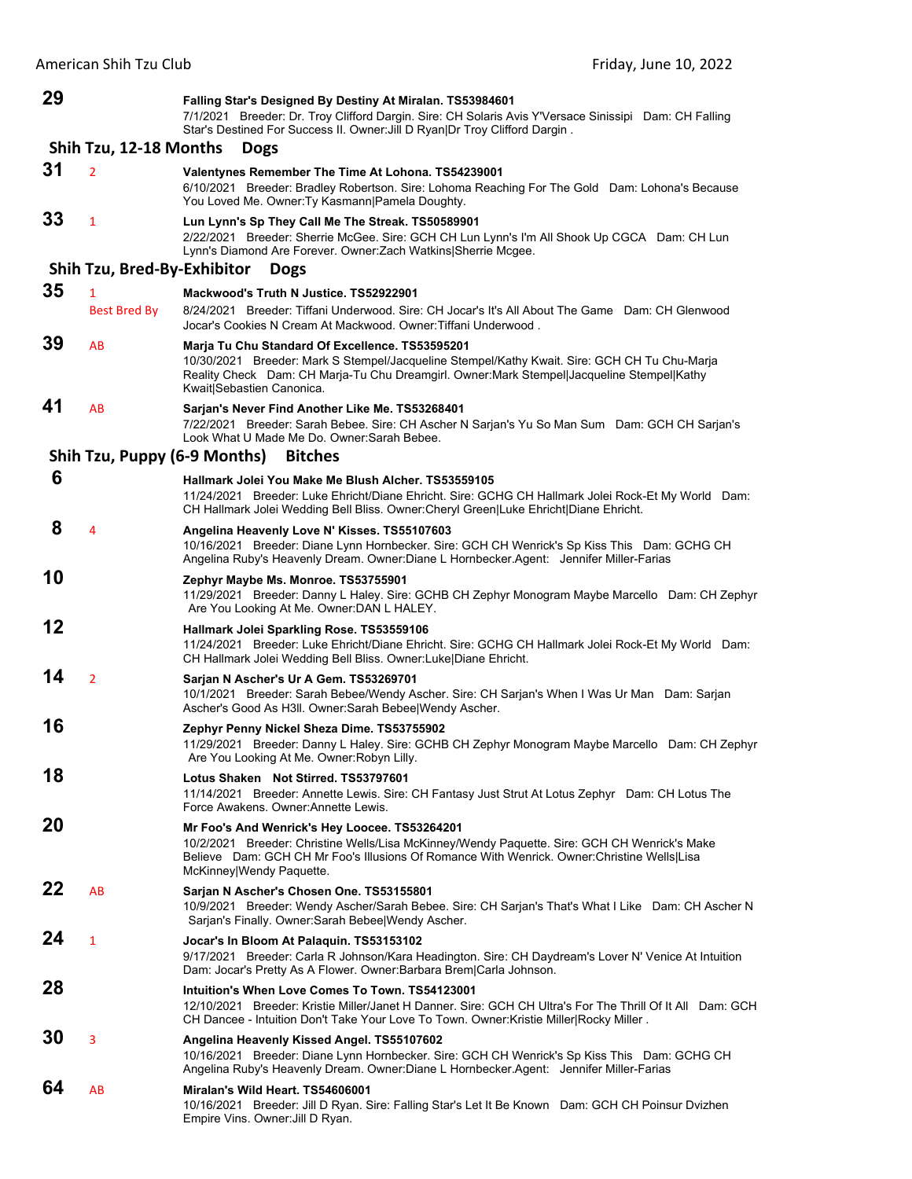| 29                                    |                              | Falling Star's Designed By Destiny At Miralan. TS53984601<br>7/1/2021 Breeder: Dr. Troy Clifford Dargin. Sire: CH Solaris Avis Y'Versace Sinissipi Dam: CH Falling<br>Star's Destined For Success II. Owner: Jill D Ryan Dr Troy Clifford Dargin.                          |  |  |  |
|---------------------------------------|------------------------------|----------------------------------------------------------------------------------------------------------------------------------------------------------------------------------------------------------------------------------------------------------------------------|--|--|--|
| Shih Tzu, 12-18 Months<br><b>Dogs</b> |                              |                                                                                                                                                                                                                                                                            |  |  |  |
| 31                                    | $\overline{2}$               | Valentynes Remember The Time At Lohona. TS54239001<br>6/10/2021 Breeder: Bradley Robertson. Sire: Lohoma Reaching For The Gold Dam: Lohona's Because<br>You Loved Me. Owner: Ty Kasmann   Pamela Doughty.                                                                  |  |  |  |
| 33                                    | $\mathbf{1}$                 | Lun Lynn's Sp They Call Me The Streak. TS50589901<br>2/22/2021 Breeder: Sherrie McGee. Sire: GCH CH Lun Lynn's I'm All Shook Up CGCA Dam: CH Lun<br>Lynn's Diamond Are Forever. Owner: Zach Watkins Sherrie Mcgee.                                                         |  |  |  |
|                                       | Shih Tzu, Bred-By-Exhibitor  | <b>Dogs</b>                                                                                                                                                                                                                                                                |  |  |  |
| 35                                    | 1<br><b>Best Bred By</b>     | Mackwood's Truth N Justice. TS52922901<br>8/24/2021 Breeder: Tiffani Underwood. Sire: CH Jocar's It's All About The Game Dam: CH Glenwood<br>Jocar's Cookies N Cream At Mackwood. Owner: Tiffani Underwood.                                                                |  |  |  |
| 39                                    | AB                           | Marja Tu Chu Standard Of Excellence. TS53595201<br>10/30/2021 Breeder: Mark S Stempel/Jacqueline Stempel/Kathy Kwait. Sire: GCH CH Tu Chu-Marja<br>Reality Check Dam: CH Marja-Tu Chu Dreamgirl. Owner: Mark Stempel Jacqueline Stempel Kathy<br>Kwait Sebastien Canonica. |  |  |  |
| 41                                    | AB                           | Sarjan's Never Find Another Like Me. TS53268401<br>7/22/2021 Breeder: Sarah Bebee, Sire: CH Ascher N Sarjan's Yu So Man Sum Dam: GCH CH Sarjan's<br>Look What U Made Me Do. Owner: Sarah Bebee.                                                                            |  |  |  |
|                                       | Shih Tzu, Puppy (6-9 Months) | <b>Bitches</b>                                                                                                                                                                                                                                                             |  |  |  |
| 6                                     |                              | Hallmark Jolei You Make Me Blush Alcher, TS53559105<br>11/24/2021 Breeder: Luke Ehricht/Diane Ehricht. Sire: GCHG CH Hallmark Jolei Rock-Et My World Dam:<br>CH Hallmark Jolei Wedding Bell Bliss. Owner: Cheryl Green Luke Ehricht   Diane Ehricht.                       |  |  |  |
| 8                                     | 4                            | Angelina Heavenly Love N' Kisses. TS55107603<br>10/16/2021 Breeder: Diane Lynn Hornbecker. Sire: GCH CH Wenrick's Sp Kiss This Dam: GCHG CH<br>Angelina Ruby's Heavenly Dream. Owner:Diane L Hornbecker.Agent: Jennifer Miller-Farias                                      |  |  |  |
| 10                                    |                              | Zephyr Maybe Ms. Monroe. TS53755901<br>11/29/2021 Breeder: Danny L Haley. Sire: GCHB CH Zephyr Monogram Maybe Marcello Dam: CH Zephyr<br>Are You Looking At Me. Owner: DAN L HALEY.                                                                                        |  |  |  |
| 12                                    |                              | Hallmark Jolei Sparkling Rose. TS53559106<br>11/24/2021 Breeder: Luke Ehricht/Diane Ehricht. Sire: GCHG CH Hallmark Jolei Rock-Et My World Dam:<br>CH Hallmark Jolei Wedding Bell Bliss. Owner:Luke Diane Ehricht.                                                         |  |  |  |
| 14                                    | $\overline{2}$               | Sarjan N Ascher's Ur A Gem. TS53269701<br>10/1/2021 Breeder: Sarah Bebee/Wendy Ascher. Sire: CH Sarjan's When I Was Ur Man Dam: Sarjan<br>Ascher's Good As H3II. Owner: Sarah Bebee Wendy Ascher.                                                                          |  |  |  |
| 16                                    |                              | Zephyr Penny Nickel Sheza Dime. TS53755902<br>11/29/2021 Breeder: Danny L Haley. Sire: GCHB CH Zephyr Monogram Maybe Marcello Dam: CH Zephyr<br>Are You Looking At Me. Owner: Robyn Lilly.                                                                                 |  |  |  |
| 18                                    |                              | Lotus Shaken Not Stirred. TS53797601<br>11/14/2021 Breeder: Annette Lewis. Sire: CH Fantasy Just Strut At Lotus Zephyr Dam: CH Lotus The<br>Force Awakens, Owner Annette Lewis.                                                                                            |  |  |  |
| 20                                    |                              | Mr Foo's And Wenrick's Hey Loocee. TS53264201<br>10/2/2021 Breeder: Christine Wells/Lisa McKinney/Wendy Paquette. Sire: GCH CH Wenrick's Make<br>Believe Dam: GCH CH Mr Foo's Illusions Of Romance With Wenrick. Owner: Christine Wells Lisa<br>McKinney Wendy Paquette.   |  |  |  |
| 22                                    | AB                           | Sarjan N Ascher's Chosen One. TS53155801<br>10/9/2021 Breeder: Wendy Ascher/Sarah Bebee. Sire: CH Sarjan's That's What I Like Dam: CH Ascher N<br>Sarjan's Finally. Owner: Sarah Bebee Wendy Ascher.                                                                       |  |  |  |
| 24                                    | $\mathbf{1}$                 | Jocar's In Bloom At Palaquin. TS53153102<br>9/17/2021 Breeder: Carla R Johnson/Kara Headington. Sire: CH Daydream's Lover N' Venice At Intuition<br>Dam: Jocar's Pretty As A Flower. Owner: Barbara Brem Carla Johnson.                                                    |  |  |  |
| 28                                    |                              | Intuition's When Love Comes To Town. TS54123001<br>12/10/2021 Breeder: Kristie Miller/Janet H Danner. Sire: GCH CH Ultra's For The Thrill Of It All Dam: GCH<br>CH Dancee - Intuition Don't Take Your Love To Town. Owner: Kristie Miller Rocky Miller.                    |  |  |  |
| 30                                    | 3                            | Angelina Heavenly Kissed Angel. TS55107602<br>10/16/2021 Breeder: Diane Lynn Hornbecker. Sire: GCH CH Wenrick's Sp Kiss This Dam: GCHG CH<br>Angelina Ruby's Heavenly Dream. Owner:Diane L Hornbecker.Agent: Jennifer Miller-Farias                                        |  |  |  |
| 64                                    | AB                           | Miralan's Wild Heart. TS54606001<br>10/16/2021 Breeder: Jill D Ryan. Sire: Falling Star's Let It Be Known Dam: GCH CH Poinsur Dvizhen<br>Empire Vins. Owner: Jill D Ryan.                                                                                                  |  |  |  |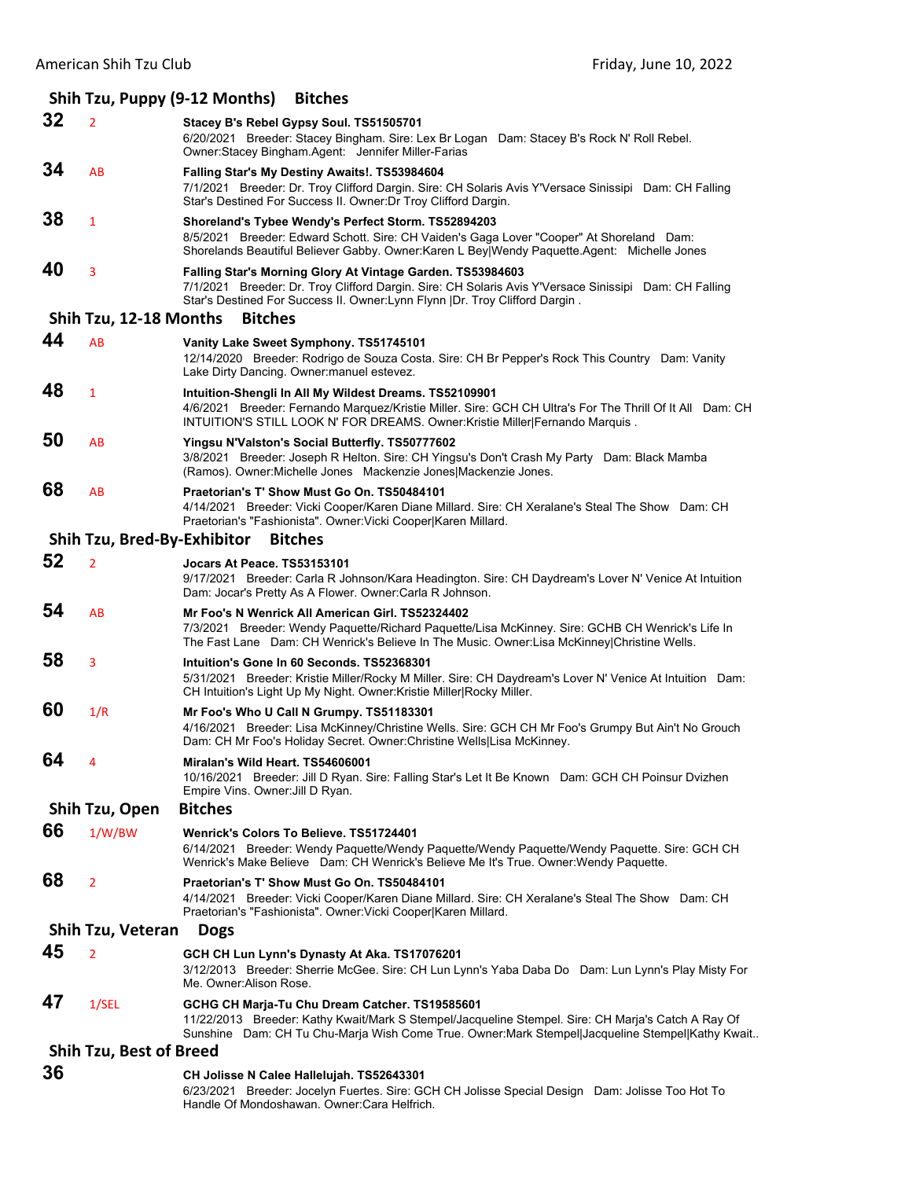## **Shih Tzu, Puppy (9‐12 Months) Bitches 32** <sup>2</sup> **Stacey B's Rebel Gypsy Soul. TS51505701** 6/20/2021 Breeder: Stacey Bingham. Sire: Lex Br Logan Dam: Stacey B's Rock N' Roll Rebel. Owner:Stacey Bingham.Agent: Jennifer Miller-Farias **34** AB **Falling Star's My Destiny Awaits!. TS53984604** 7/1/2021 Breeder: Dr. Troy Clifford Dargin. Sire: CH Solaris Avis Y'Versace Sinissipi Dam: CH Falling Star's Destined For Success II. Owner:Dr Troy Clifford Dargin. **38** <sup>1</sup> **Shoreland's Tybee Wendy's Perfect Storm. TS52894203** 8/5/2021 Breeder: Edward Schott. Sire: CH Vaiden's Gaga Lover "Cooper" At Shoreland Dam: Shorelands Beautiful Believer Gabby. Owner:Karen L Bey|Wendy Paquette.Agent: Michelle Jones **40** <sup>3</sup> **Falling Star's Morning Glory At Vintage Garden. TS53984603** 7/1/2021 Breeder: Dr. Troy Clifford Dargin. Sire: CH Solaris Avis Y'Versace Sinissipi Dam: CH Falling Star's Destined For Success II. Owner:Lynn Flynn |Dr. Troy Clifford Dargin. **Shih Tzu, 12‐18 Months Bitches 44** AB **Vanity Lake Sweet Symphony. TS51745101** 12/14/2020 Breeder: Rodrigo de Souza Costa. Sire: CH Br Pepper's Rock This Country Dam: Vanity Lake Dirty Dancing. Owner:manuel estevez. **48** <sup>1</sup> **Intuition-Shengli In All My Wildest Dreams. TS52109901** 4/6/2021 Breeder: Fernando Marquez/Kristie Miller. Sire: GCH CH Ultra's For The Thrill Of It All Dam: CH INTUITION'S STILL LOOK N' FOR DREAMS. Owner:Kristie Miller|Fernando Marquis . **50** AB **Yingsu N'Valston's Social Butterfly. TS50777602** 3/8/2021 Breeder: Joseph R Helton. Sire: CH Yingsu's Don't Crash My Party Dam: Black Mamba (Ramos). Owner:Michelle Jones Mackenzie Jones|Mackenzie Jones. **68** AB **Praetorian's T' Show Must Go On. TS50484101** 4/14/2021 Breeder: Vicki Cooper/Karen Diane Millard. Sire: CH Xeralane's Steal The Show Dam: CH Praetorian's "Fashionista". Owner:Vicki Cooper|Karen Millard. **Shih Tzu, Bred‐By‐Exhibitor Bitches 52** <sup>2</sup> **Jocars At Peace. TS53153101** 9/17/2021 Breeder: Carla R Johnson/Kara Headington. Sire: CH Daydream's Lover N' Venice At Intuition Dam: Jocar's Pretty As A Flower. Owner:Carla R Johnson. **54** AB **Mr Foo's N Wenrick All American Girl. TS52324402** 7/3/2021 Breeder: Wendy Paquette/Richard Paquette/Lisa McKinney. Sire: GCHB CH Wenrick's Life In The Fast Lane Dam: CH Wenrick's Believe In The Music. Owner:Lisa McKinney|Christine Wells. **58** <sup>3</sup> **Intuition's Gone In 60 Seconds. TS52368301** 5/31/2021 Breeder: Kristie Miller/Rocky M Miller. Sire: CH Daydream's Lover N' Venice At Intuition Dam: CH Intuition's Light Up My Night. Owner:Kristie Miller|Rocky Miller. **60** 1/R **Mr Foo's Who U Call N Grumpy. TS51183301** 4/16/2021 Breeder: Lisa McKinney/Christine Wells. Sire: GCH CH Mr Foo's Grumpy But Ain't No Grouch Dam: CH Mr Foo's Holiday Secret. Owner:Christine Wells|Lisa McKinney. **64** <sup>4</sup> **Miralan's Wild Heart. TS54606001** 10/16/2021 Breeder: Jill D Ryan. Sire: Falling Star's Let It Be Known Dam: GCH CH Poinsur Dvizhen Empire Vins. Owner:Jill D Ryan. **Shih Tzu, Open Bitches 66** 1/W/BW **Wenrick's Colors To Believe. TS51724401** 6/14/2021 Breeder: Wendy Paquette/Wendy Paquette/Wendy Paquette/Wendy Paquette. Sire: GCH CH Wenrick's Make Believe Dam: CH Wenrick's Believe Me It's True. Owner:Wendy Paquette. **68** <sup>2</sup> **Praetorian's T' Show Must Go On. TS50484101** 4/14/2021 Breeder: Vicki Cooper/Karen Diane Millard. Sire: CH Xeralane's Steal The Show Dam: CH Praetorian's "Fashionista". Owner:Vicki Cooper|Karen Millard. **Shih Tzu, Veteran Dogs 45** <sup>2</sup> **GCH CH Lun Lynn's Dynasty At Aka. TS17076201** 3/12/2013 Breeder: Sherrie McGee. Sire: CH Lun Lynn's Yaba Daba Do Dam: Lun Lynn's Play Misty For Me. Owner:Alison Rose. **47** 1/SEL **GCHG CH Marja-Tu Chu Dream Catcher. TS19585601** 11/22/2013 Breeder: Kathy Kwait/Mark S Stempel/Jacqueline Stempel. Sire: CH Marja's Catch A Ray Of Sunshine Dam: CH Tu Chu-Marja Wish Come True. Owner:Mark Stempel|Jacqueline Stempel|Kathy Kwait.. **Shih Tzu, Best of Breed 36 CH Jolisse N Calee Hallelujah. TS52643301**

6/23/2021 Breeder: Jocelyn Fuertes. Sire: GCH CH Jolisse Special Design Dam: Jolisse Too Hot To Handle Of Mondoshawan. Owner:Cara Helfrich.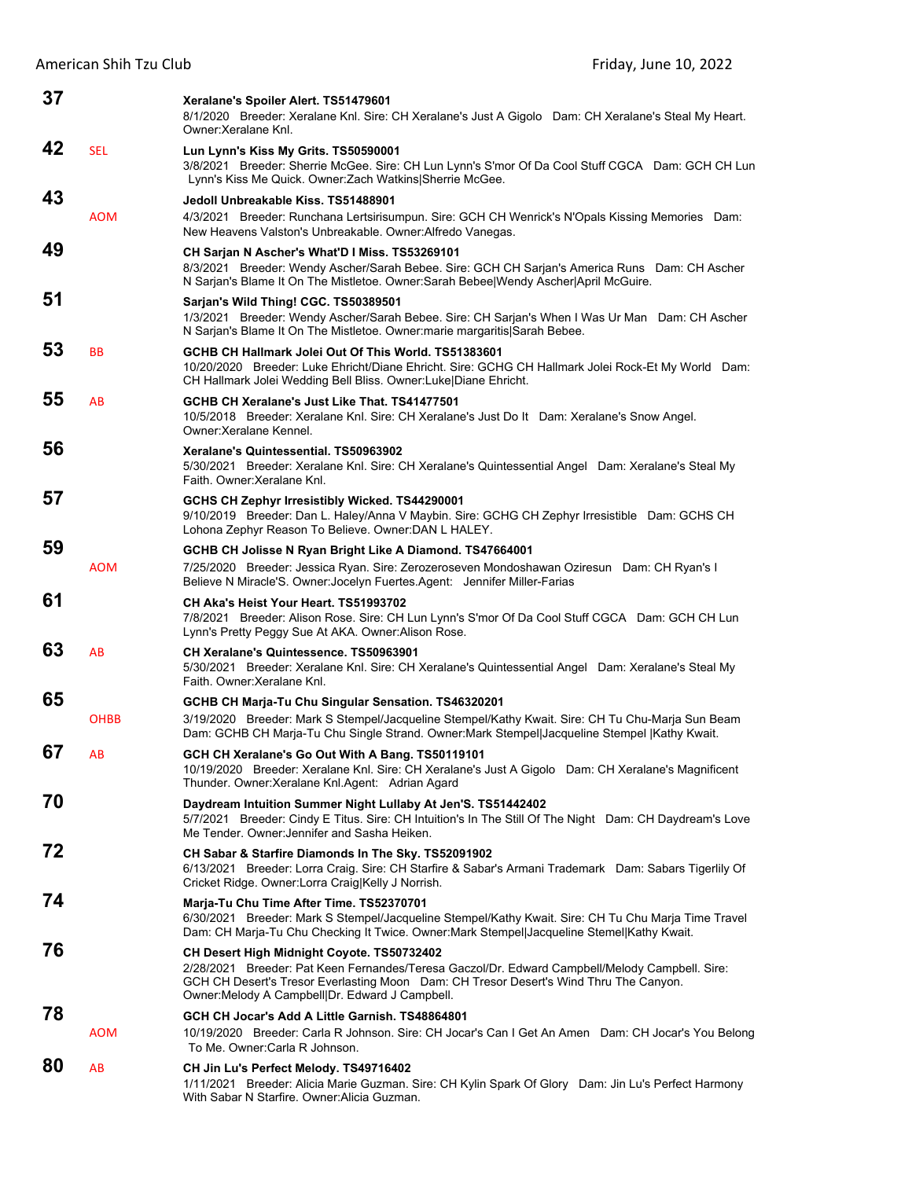| 37 |             | Xeralane's Spoiler Alert. TS51479601<br>8/1/2020 Breeder: Xeralane Knl. Sire: CH Xeralane's Just A Gigolo Dam: CH Xeralane's Steal My Heart.<br>Owner: Xeralane Knl.                                                                                                                     |
|----|-------------|------------------------------------------------------------------------------------------------------------------------------------------------------------------------------------------------------------------------------------------------------------------------------------------|
| 42 | SEL         | Lun Lynn's Kiss My Grits. TS50590001<br>3/8/2021 Breeder: Sherrie McGee. Sire: CH Lun Lynn's S'mor Of Da Cool Stuff CGCA Dam: GCH CH Lun<br>Lynn's Kiss Me Quick. Owner: Zach Watkins Sherrie McGee.                                                                                     |
| 43 | <b>AOM</b>  | Jedoll Unbreakable Kiss, TS51488901<br>4/3/2021 Breeder: Runchana Lertsirisumpun. Sire: GCH CH Wenrick's N'Opals Kissing Memories Dam:<br>New Heavens Valston's Unbreakable. Owner: Alfredo Vanegas.                                                                                     |
| 49 |             | CH Sarjan N Ascher's What'D I Miss. TS53269101<br>8/3/2021 Breeder: Wendy Ascher/Sarah Bebee. Sire: GCH CH Sarjan's America Runs Dam: CH Ascher<br>N Sarjan's Blame It On The Mistletoe. Owner:Sarah Bebee Wendy Ascher April McGuire.                                                   |
| 51 |             | Sarjan's Wild Thing! CGC. TS50389501<br>1/3/2021 Breeder: Wendy Ascher/Sarah Bebee. Sire: CH Sarjan's When I Was Ur Man Dam: CH Ascher<br>N Sarjan's Blame It On The Mistletoe. Owner: marie margaritis Sarah Bebee.                                                                     |
| 53 | BB          | GCHB CH Hallmark Jolei Out Of This World, TS51383601<br>10/20/2020 Breeder: Luke Ehricht/Diane Ehricht. Sire: GCHG CH Hallmark Jolei Rock-Et My World Dam:<br>CH Hallmark Jolei Wedding Bell Bliss. Owner:Luke Diane Ehricht.                                                            |
| 55 | AB          | GCHB CH Xeralane's Just Like That. TS41477501<br>10/5/2018 Breeder: Xeralane Knl. Sire: CH Xeralane's Just Do It Dam: Xeralane's Snow Angel.<br>Owner: Xeralane Kennel.                                                                                                                  |
| 56 |             | Xeralane's Quintessential, TS50963902<br>5/30/2021 Breeder: Xeralane Knl. Sire: CH Xeralane's Quintessential Angel Dam: Xeralane's Steal My<br>Faith. Owner: Xeralane Knl.                                                                                                               |
| 57 |             | GCHS CH Zephyr Irresistibly Wicked. TS44290001<br>9/10/2019 Breeder: Dan L. Haley/Anna V Maybin. Sire: GCHG CH Zephyr Irresistible Dam: GCHS CH<br>Lohona Zephyr Reason To Believe. Owner: DAN L HALEY.                                                                                  |
| 59 | <b>AOM</b>  | GCHB CH Jolisse N Ryan Bright Like A Diamond. TS47664001<br>7/25/2020 Breeder: Jessica Ryan. Sire: Zerozeroseven Mondoshawan Oziresun Dam: CH Ryan's I<br>Believe N Miracle'S. Owner: Jocelyn Fuertes. Agent: Jennifer Miller-Farias                                                     |
| 61 |             | CH Aka's Heist Your Heart, TS51993702<br>7/8/2021 Breeder: Alison Rose. Sire: CH Lun Lynn's S'mor Of Da Cool Stuff CGCA Dam: GCH CH Lun<br>Lynn's Pretty Peggy Sue At AKA. Owner: Alison Rose.                                                                                           |
| 63 | AB          | CH Xeralane's Quintessence. TS50963901<br>5/30/2021 Breeder: Xeralane Knl. Sire: CH Xeralane's Quintessential Angel Dam: Xeralane's Steal My<br>Faith. Owner: Xeralane Knl.                                                                                                              |
| 65 |             | GCHB CH Marja-Tu Chu Singular Sensation. TS46320201                                                                                                                                                                                                                                      |
|    | <b>OHBB</b> | 3/19/2020 Breeder: Mark S Stempel/Jacqueline Stempel/Kathy Kwait. Sire: CH Tu Chu-Marja Sun Beam<br>Dam: GCHB CH Marja-Tu Chu Single Strand. Owner:Mark Stempel Jacqueline Stempel  Kathy Kwait.                                                                                         |
| 67 | AB          | GCH CH Xeralane's Go Out With A Bang. TS50119101<br>10/19/2020 Breeder: Xeralane Knl. Sire: CH Xeralane's Just A Gigolo Dam: CH Xeralane's Magnificent<br>Thunder. Owner: Xeralane Knl. Agent: Adrian Agard                                                                              |
| 70 |             | Daydream Intuition Summer Night Lullaby At Jen'S. TS51442402<br>5/7/2021 Breeder: Cindy E Titus. Sire: CH Intuition's In The Still Of The Night Dam: CH Daydream's Love<br>Me Tender, Owner: Jennifer and Sasha Heiken.                                                                  |
| 72 |             | CH Sabar & Starfire Diamonds In The Sky. TS52091902<br>6/13/2021 Breeder: Lorra Craig. Sire: CH Starfire & Sabar's Armani Trademark Dam: Sabars Tigerlily Of<br>Cricket Ridge. Owner:Lorra Craig Kelly J Norrish.                                                                        |
| 74 |             | Marja-Tu Chu Time After Time. TS52370701<br>6/30/2021 Breeder: Mark S Stempel/Jacqueline Stempel/Kathy Kwait. Sire: CH Tu Chu Marja Time Travel<br>Dam: CH Marja-Tu Chu Checking It Twice. Owner:Mark Stempel Jacqueline Stemel Kathy Kwait.                                             |
| 76 |             | CH Desert High Midnight Coyote. TS50732402<br>2/28/2021 Breeder: Pat Keen Fernandes/Teresa Gaczol/Dr. Edward Campbell/Melody Campbell. Sire:<br>GCH CH Desert's Tresor Everlasting Moon Dam: CH Tresor Desert's Wind Thru The Canyon.<br>Owner: Melody A Campbell Dr. Edward J Campbell. |
| 78 | <b>AOM</b>  | GCH CH Jocar's Add A Little Garnish. TS48864801<br>10/19/2020 Breeder: Carla R Johnson. Sire: CH Jocar's Can I Get An Amen Dam: CH Jocar's You Belong<br>To Me. Owner: Carla R Johnson.                                                                                                  |
| 80 | AB          | CH Jin Lu's Perfect Melody. TS49716402<br>1/11/2021 Breeder: Alicia Marie Guzman. Sire: CH Kylin Spark Of Glory Dam: Jin Lu's Perfect Harmony<br>With Sabar N Starfire. Owner: Alicia Guzman.                                                                                            |